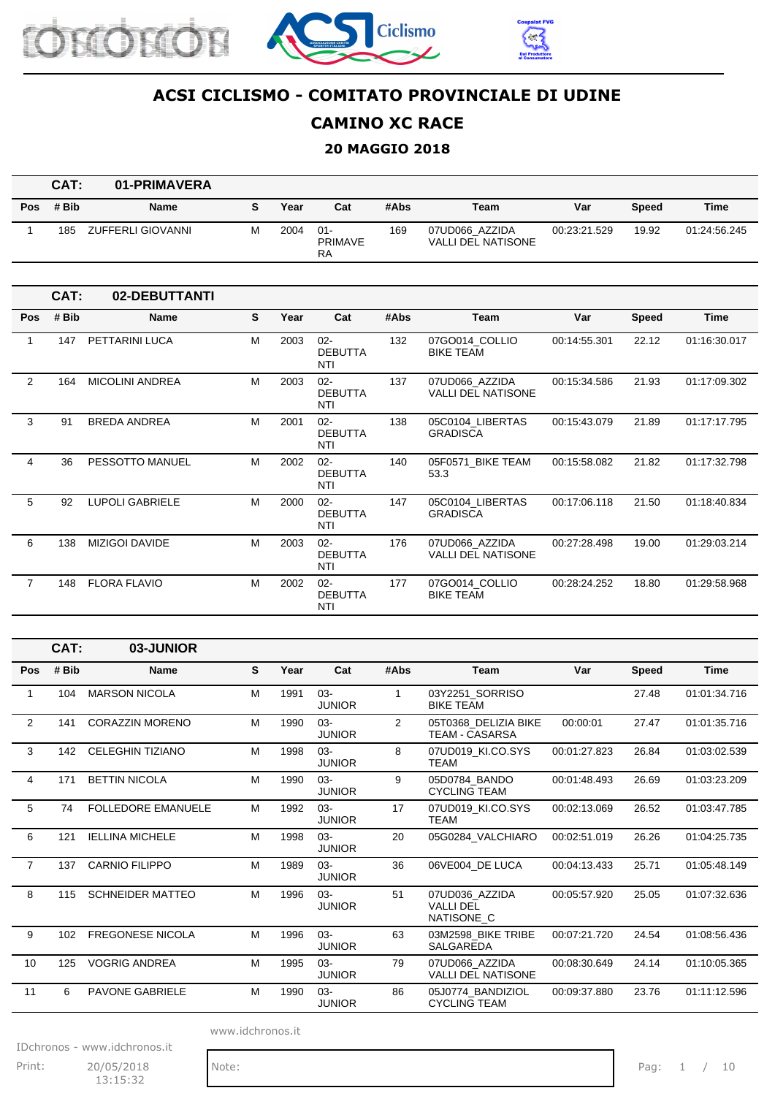





### **CAMINO XC RACE**

#### **20 MAGGIO 2018**

|            | CAT:  | 01-PRIMAVERA      |   |      |                                       |      |                                      |              |              |              |
|------------|-------|-------------------|---|------|---------------------------------------|------|--------------------------------------|--------------|--------------|--------------|
| <b>Pos</b> | # Bib | <b>Name</b>       |   | Year | Cat                                   | #Abs | Team                                 | Var          | <b>Speed</b> | Time         |
|            | 185   | ZUFFERLI GIOVANNI | м | 2004 | $01 -$<br><b>PRIMAVE</b><br><b>RA</b> | 169  | 07UD066 AZZIDA<br>VALLI DEL NATISONE | 00:23:21.529 | 19.92        | 01:24:56.245 |

|                | CAT:  | 02-DEBUTTANTI          |   |      |                                        |      |                                             |              |              |              |
|----------------|-------|------------------------|---|------|----------------------------------------|------|---------------------------------------------|--------------|--------------|--------------|
| <b>Pos</b>     | # Bib | <b>Name</b>            | S | Year | Cat                                    | #Abs | <b>Team</b>                                 | Var          | <b>Speed</b> | Time         |
| 1              | 147   | PETTARINI LUCA         | M | 2003 | $02 -$<br><b>DEBUTTA</b><br>NTI        | 132  | 07GO014 COLLIO<br><b>BIKE TEAM</b>          | 00:14:55.301 | 22.12        | 01:16:30.017 |
| $\overline{2}$ | 164   | <b>MICOLINI ANDREA</b> | M | 2003 | $02 -$<br><b>DEBUTTA</b><br><b>NTI</b> | 137  | 07UD066 AZZIDA<br><b>VALLI DEL NATISONE</b> | 00:15:34.586 | 21.93        | 01:17:09.302 |
| 3              | 91    | <b>BREDA ANDREA</b>    | M | 2001 | $02 -$<br><b>DEBUTTA</b><br>NTI        | 138  | 05C0104 LIBERTAS<br><b>GRADISCA</b>         | 00:15:43.079 | 21.89        | 01:17:17.795 |
| 4              | 36    | PESSOTTO MANUEL        | M | 2002 | $02 -$<br><b>DEBUTTA</b><br>NTI        | 140  | 05F0571 BIKE TEAM<br>53.3                   | 00:15:58.082 | 21.82        | 01:17:32.798 |
| 5              | 92    | <b>LUPOLI GABRIELE</b> | M | 2000 | $02 -$<br><b>DEBUTTA</b><br>NTI        | 147  | 05C0104 LIBERTAS<br><b>GRADISCA</b>         | 00:17:06.118 | 21.50        | 01:18:40.834 |
| 6              | 138   | <b>MIZIGOI DAVIDE</b>  | M | 2003 | $02 -$<br><b>DEBUTTA</b><br><b>NTI</b> | 176  | 07UD066 AZZIDA<br><b>VALLI DEL NATISONE</b> | 00:27:28.498 | 19.00        | 01:29:03.214 |
| $\overline{7}$ | 148   | <b>FLORA FLAVIO</b>    | M | 2002 | $02 -$<br><b>DEBUTTA</b><br>NTI        | 177  | 07GO014_COLLIO<br><b>BIKE TEAM</b>          | 00:28:24.252 | 18.80        | 01:29:58.968 |

|                | CAT:  | 03-JUNIOR                 |   |      |                         |                |                                                  |              |              |              |
|----------------|-------|---------------------------|---|------|-------------------------|----------------|--------------------------------------------------|--------------|--------------|--------------|
| <b>Pos</b>     | # Bib | <b>Name</b>               | S | Year | Cat                     | #Abs           | <b>Team</b>                                      | Var          | <b>Speed</b> | <b>Time</b>  |
| 1              | 104   | <b>MARSON NICOLA</b>      | M | 1991 | $03 -$<br><b>JUNIOR</b> | 1              | 03Y2251 SORRISO<br><b>BIKE TEAM</b>              |              | 27.48        | 01:01:34.716 |
| 2              | 141   | <b>CORAZZIN MORENO</b>    | M | 1990 | $03 -$<br><b>JUNIOR</b> | $\overline{2}$ | 05T0368 DELIZIA BIKE<br><b>TEAM - CASARSA</b>    | 00:00:01     | 27.47        | 01:01:35.716 |
| 3              | 142   | <b>CELEGHIN TIZIANO</b>   | M | 1998 | $03 -$<br><b>JUNIOR</b> | 8              | 07UD019_KI.CO.SYS<br><b>TEAM</b>                 | 00:01:27.823 | 26.84        | 01:03:02.539 |
| 4              | 171   | <b>BETTIN NICOLA</b>      | M | 1990 | $03 -$<br><b>JUNIOR</b> | 9              | 05D0784 BANDO<br><b>CYCLING TEAM</b>             | 00:01:48.493 | 26.69        | 01:03:23.209 |
| 5              | 74    | <b>FOLLEDORE EMANUELE</b> | M | 1992 | $03 -$<br><b>JUNIOR</b> | 17             | 07UD019_KI.CO.SYS<br>TEAM                        | 00:02:13.069 | 26.52        | 01:03:47.785 |
| 6              | 121   | <b>IELLINA MICHELE</b>    | M | 1998 | $03-$<br><b>JUNIOR</b>  | 20             | 05G0284 VALCHIARO                                | 00:02:51.019 | 26.26        | 01:04:25.735 |
| $\overline{7}$ | 137   | <b>CARNIO FILIPPO</b>     | M | 1989 | $03 -$<br><b>JUNIOR</b> | 36             | 06VE004 DE LUCA                                  | 00:04:13.433 | 25.71        | 01:05:48.149 |
| 8              | 115   | <b>SCHNEIDER MATTEO</b>   | M | 1996 | $03 -$<br><b>JUNIOR</b> | 51             | 07UD036_AZZIDA<br><b>VALLI DEL</b><br>NATISONE_C | 00:05:57.920 | 25.05        | 01:07:32.636 |
| 9              | 102   | <b>FREGONESE NICOLA</b>   | M | 1996 | $03 -$<br><b>JUNIOR</b> | 63             | 03M2598 BIKE TRIBE<br><b>SALGAREDA</b>           | 00:07:21.720 | 24.54        | 01:08:56.436 |
| 10             | 125   | <b>VOGRIG ANDREA</b>      | M | 1995 | $03 -$<br><b>JUNIOR</b> | 79             | 07UD066 AZZIDA<br><b>VALLI DEL NATISONE</b>      | 00:08:30.649 | 24.14        | 01:10:05.365 |
| 11             | 6     | <b>PAVONE GABRIELE</b>    | м | 1990 | $03 -$<br><b>JUNIOR</b> | 86             | 05J0774 BANDIZIOL<br><b>CYCLING TEAM</b>         | 00:09:37.880 | 23.76        | 01:11:12.596 |

www.idchronos.it

IDchronos - www.idchronos.it

Print: 20/05/2018 Note: Note: Pag: 1 / 10 13:15:32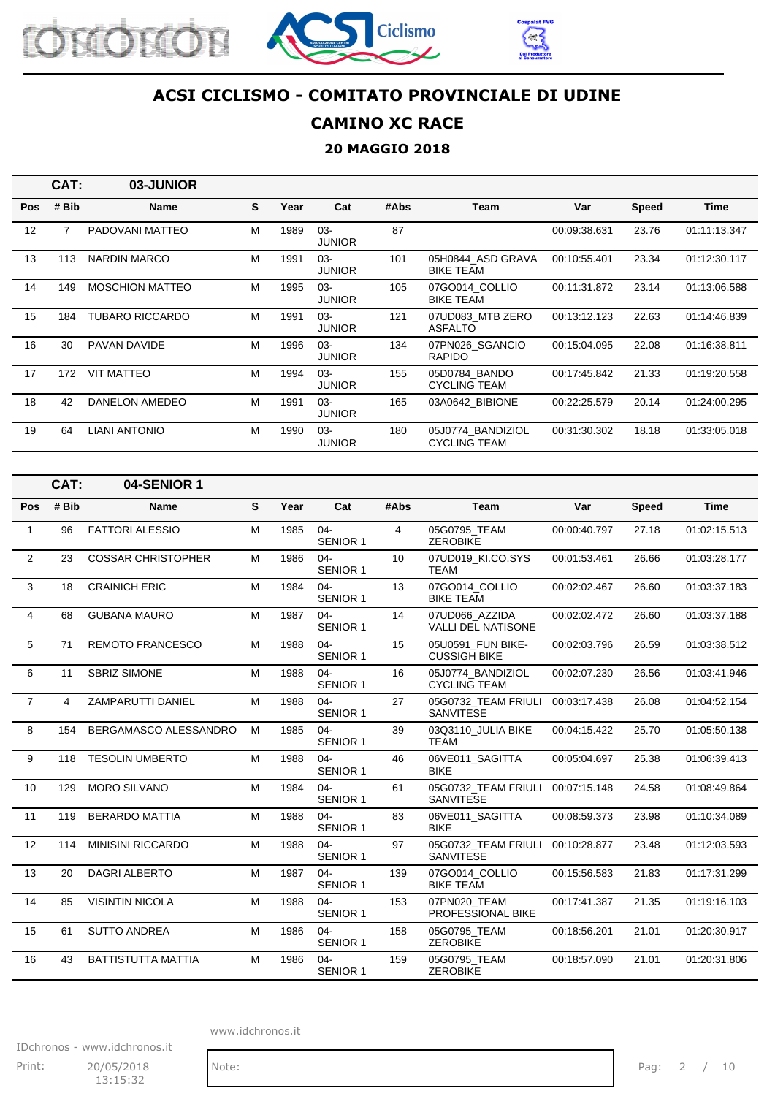





### **CAMINO XC RACE**

#### **20 MAGGIO 2018**

|            | CAT:  | 03-JUNIOR              |   |      |                         |      |                                          |              |              |              |
|------------|-------|------------------------|---|------|-------------------------|------|------------------------------------------|--------------|--------------|--------------|
| <b>Pos</b> | # Bib | <b>Name</b>            | S | Year | Cat                     | #Abs | Team                                     | Var          | <b>Speed</b> | Time         |
| 12         |       | PADOVANI MATTEO        | M | 1989 | $03 -$<br><b>JUNIOR</b> | 87   |                                          | 00:09:38.631 | 23.76        | 01:11:13.347 |
| 13         | 113   | NARDIN MARCO           | M | 1991 | $03 -$<br><b>JUNIOR</b> | 101  | 05H0844 ASD GRAVA<br><b>BIKE TEAM</b>    | 00:10:55.401 | 23.34        | 01:12:30.117 |
| 14         | 149   | <b>MOSCHION MATTEO</b> | м | 1995 | $03 -$<br><b>JUNIOR</b> | 105  | 07GO014 COLLIO<br><b>BIKE TEAM</b>       | 00:11:31.872 | 23.14        | 01:13:06.588 |
| 15         | 184   | <b>TUBARO RICCARDO</b> | M | 1991 | $03 -$<br><b>JUNIOR</b> | 121  | 07UD083 MTB ZERO<br><b>ASFALTO</b>       | 00:13:12.123 | 22.63        | 01:14:46.839 |
| 16         | 30    | <b>PAVAN DAVIDE</b>    | M | 1996 | $03 -$<br><b>JUNIOR</b> | 134  | 07PN026 SGANCIO<br><b>RAPIDO</b>         | 00:15:04.095 | 22.08        | 01:16:38.811 |
| 17         | 172   | <b>VIT MATTEO</b>      | м | 1994 | $03 -$<br><b>JUNIOR</b> | 155  | 05D0784 BANDO<br><b>CYCLING TEAM</b>     | 00:17:45.842 | 21.33        | 01:19:20.558 |
| 18         | 42    | DANELON AMEDEO         | M | 1991 | $03 -$<br><b>JUNIOR</b> | 165  | 03A0642 BIBIONE                          | 00:22:25.579 | 20.14        | 01:24:00.295 |
| 19         | 64    | <b>LIANI ANTONIO</b>   | м | 1990 | $03 -$<br><b>JUNIOR</b> | 180  | 05J0774 BANDIZIOL<br><b>CYCLING TEAM</b> | 00:31:30.302 | 18.18        | 01:33:05.018 |

|                | CAT:           | 04-SENIOR 1               |   |      |                           |      |                                             |              |              |              |
|----------------|----------------|---------------------------|---|------|---------------------------|------|---------------------------------------------|--------------|--------------|--------------|
| Pos            | # Bib          | <b>Name</b>               | S | Year | Cat                       | #Abs | Team                                        | Var          | <b>Speed</b> | <b>Time</b>  |
| $\mathbf{1}$   | 96             | <b>FATTORI ALESSIO</b>    | M | 1985 | $04 -$<br><b>SENIOR 1</b> | 4    | 05G0795 TEAM<br><b>ZEROBIKE</b>             | 00:00:40.797 | 27.18        | 01:02:15.513 |
| $\overline{2}$ | 23             | <b>COSSAR CHRISTOPHER</b> | M | 1986 | $04 -$<br><b>SENIOR 1</b> | 10   | 07UD019 KI.CO.SYS<br><b>TEAM</b>            | 00:01:53.461 | 26.66        | 01:03:28.177 |
| 3              | 18             | <b>CRAINICH ERIC</b>      | M | 1984 | $04 -$<br><b>SENIOR 1</b> | 13   | 07GO014 COLLIO<br><b>BIKE TEAM</b>          | 00:02:02.467 | 26.60        | 01:03:37.183 |
| $\overline{4}$ | 68             | <b>GUBANA MAURO</b>       | M | 1987 | $04 -$<br><b>SENIOR 1</b> | 14   | 07UD066 AZZIDA<br><b>VALLI DEL NATISONE</b> | 00:02:02.472 | 26.60        | 01:03:37.188 |
| 5              | 71             | <b>REMOTO FRANCESCO</b>   | M | 1988 | $04 -$<br><b>SENIOR 1</b> | 15   | 05U0591 FUN BIKE-<br><b>CUSSIGH BIKE</b>    | 00:02:03.796 | 26.59        | 01:03:38.512 |
| 6              | 11             | <b>SBRIZ SIMONE</b>       | M | 1988 | $04 -$<br><b>SENIOR 1</b> | 16   | 05J0774 BANDIZIOL<br><b>CYCLING TEAM</b>    | 00:02:07.230 | 26.56        | 01:03:41.946 |
| $\overline{7}$ | $\overline{4}$ | ZAMPARUTTI DANIEL         | M | 1988 | $04 -$<br><b>SENIOR 1</b> | 27   | 05G0732 TEAM FRIULI<br><b>SANVITESE</b>     | 00:03:17.438 | 26.08        | 01:04:52.154 |
| 8              | 154            | BERGAMASCO ALESSANDRO     | M | 1985 | $04 -$<br><b>SENIOR 1</b> | 39   | 03Q3110 JULIA BIKE<br><b>TEAM</b>           | 00:04:15.422 | 25.70        | 01:05:50.138 |
| 9              | 118            | <b>TESOLIN UMBERTO</b>    | M | 1988 | $04 -$<br><b>SENIOR 1</b> | 46   | 06VE011 SAGITTA<br><b>BIKE</b>              | 00:05:04.697 | 25.38        | 01:06:39.413 |
| 10             | 129            | <b>MORO SILVANO</b>       | M | 1984 | $04 -$<br><b>SENIOR 1</b> | 61   | 05G0732 TEAM FRIULI<br><b>SANVITESE</b>     | 00:07:15.148 | 24.58        | 01:08:49.864 |
| 11             | 119            | <b>BERARDO MATTIA</b>     | M | 1988 | $04 -$<br><b>SENIOR 1</b> | 83   | 06VE011 SAGITTA<br><b>BIKE</b>              | 00:08:59.373 | 23.98        | 01:10:34.089 |
| 12             | 114            | <b>MINISINI RICCARDO</b>  | M | 1988 | $04 -$<br><b>SENIOR 1</b> | 97   | 05G0732_TEAM FRIULI<br><b>SANVITESE</b>     | 00:10:28.877 | 23.48        | 01:12:03.593 |
| 13             | 20             | <b>DAGRI ALBERTO</b>      | M | 1987 | $04 -$<br><b>SENIOR 1</b> | 139  | 07GO014_COLLIO<br><b>BIKE TEAM</b>          | 00:15:56.583 | 21.83        | 01:17:31.299 |
| 14             | 85             | <b>VISINTIN NICOLA</b>    | M | 1988 | $04 -$<br><b>SENIOR 1</b> | 153  | 07PN020 TEAM<br>PROFESSIONAL BIKE           | 00:17:41.387 | 21.35        | 01:19:16.103 |
| 15             | 61             | <b>SUTTO ANDREA</b>       | M | 1986 | $04 -$<br><b>SENIOR 1</b> | 158  | 05G0795 TEAM<br><b>ZEROBIKE</b>             | 00:18:56.201 | 21.01        | 01:20:30.917 |
| 16             | 43             | <b>BATTISTUTTA MATTIA</b> | M | 1986 | $04 -$<br><b>SENIOR 1</b> | 159  | 05G0795 TEAM<br><b>ZEROBIKE</b>             | 00:18:57.090 | 21.01        | 01:20:31.806 |

www.idchronos.it

IDchronos - www.idchronos.it Print: 20/05/2018 Note: Note: Pag: 2 / 10 13:15:32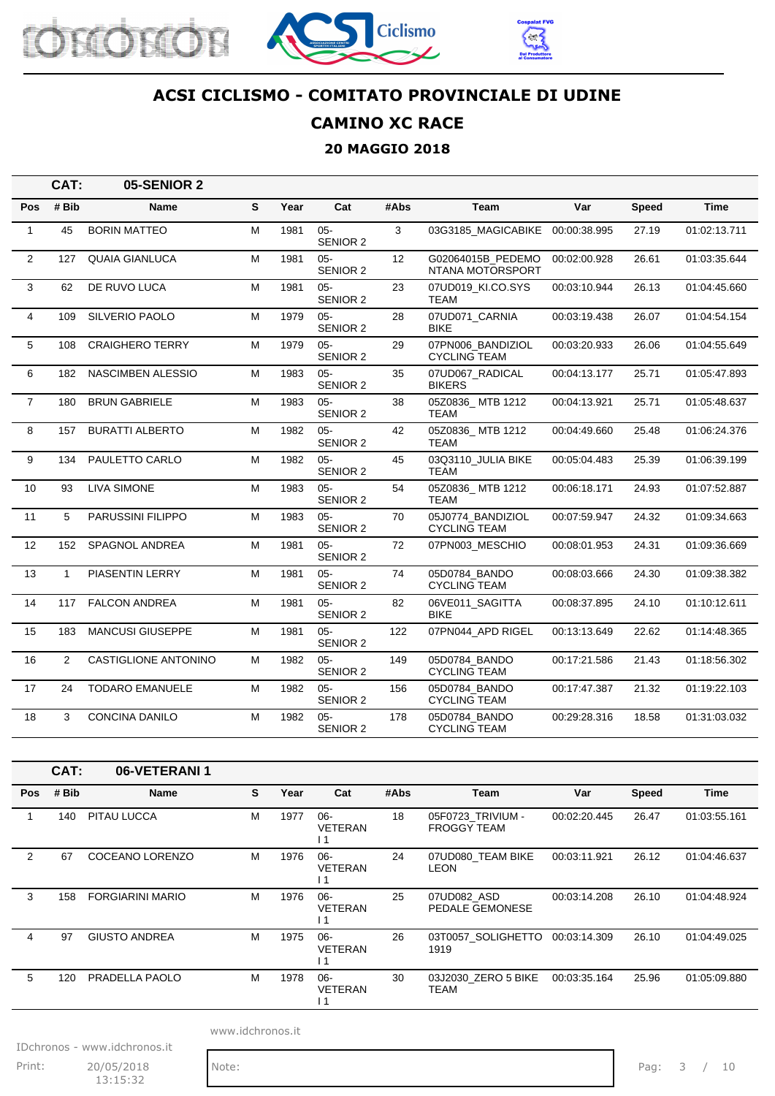





### **CAMINO XC RACE**

### **20 MAGGIO 2018**

|                | CAT:           | 05-SENIOR 2                 |   |      |                           |                   |                                          |              |              |              |
|----------------|----------------|-----------------------------|---|------|---------------------------|-------------------|------------------------------------------|--------------|--------------|--------------|
| Pos            | # Bib          | Name                        | S | Year | Cat                       | #Abs              | <b>Team</b>                              | Var          | <b>Speed</b> | <b>Time</b>  |
| $\mathbf{1}$   | 45             | <b>BORIN MATTEO</b>         | M | 1981 | $05 -$<br>SENIOR 2        | 3                 | 03G3185 MAGICABIKE 00:00:38.995          |              | 27.19        | 01:02:13.711 |
| $\overline{2}$ | 127            | <b>QUAIA GIANLUCA</b>       | M | 1981 | $05 -$<br><b>SENIOR 2</b> | $12 \overline{ }$ | G02064015B PEDEMO<br>NTANA MOTORSPORT    | 00:02:00.928 | 26.61        | 01:03:35.644 |
| 3              | 62             | DE RUVO LUCA                | M | 1981 | $05 -$<br><b>SENIOR 2</b> | 23                | 07UD019_KI.CO.SYS<br><b>TEAM</b>         | 00:03:10.944 | 26.13        | 01:04:45.660 |
| 4              | 109            | SILVERIO PAOLO              | M | 1979 | $05 -$<br><b>SENIOR 2</b> | 28                | 07UD071_CARNIA<br><b>BIKE</b>            | 00:03:19.438 | 26.07        | 01:04:54.154 |
| 5              | 108            | <b>CRAIGHERO TERRY</b>      | M | 1979 | $05 -$<br><b>SENIOR 2</b> | 29                | 07PN006 BANDIZIOL<br><b>CYCLING TEAM</b> | 00:03:20.933 | 26.06        | 01:04:55.649 |
| 6              | 182            | <b>NASCIMBEN ALESSIO</b>    | M | 1983 | $05 -$<br><b>SENIOR 2</b> | 35                | 07UD067_RADICAL<br><b>BIKERS</b>         | 00:04:13.177 | 25.71        | 01:05:47.893 |
| $\overline{7}$ | 180            | <b>BRUN GABRIELE</b>        | M | 1983 | $05 -$<br><b>SENIOR 2</b> | 38                | 05Z0836 MTB 1212<br>TEAM                 | 00:04:13.921 | 25.71        | 01:05:48.637 |
| 8              | 157            | <b>BURATTI ALBERTO</b>      | M | 1982 | $05 -$<br>SENIOR 2        | 42                | 05Z0836_MTB 1212<br><b>TEAM</b>          | 00:04:49.660 | 25.48        | 01:06:24.376 |
| 9              | 134            | PAULETTO CARLO              | M | 1982 | $05 -$<br>SENIOR 2        | 45                | 03Q3110 JULIA BIKE<br><b>TEAM</b>        | 00:05:04.483 | 25.39        | 01:06:39.199 |
| 10             | 93             | <b>LIVA SIMONE</b>          | M | 1983 | $05 -$<br><b>SENIOR 2</b> | 54                | 05Z0836_MTB 1212<br><b>TEAM</b>          | 00:06:18.171 | 24.93        | 01:07:52.887 |
| 11             | 5              | PARUSSINI FILIPPO           | М | 1983 | $05 -$<br><b>SENIOR 2</b> | 70                | 05J0774_BANDIZIOL<br><b>CYCLING TEAM</b> | 00:07:59.947 | 24.32        | 01:09:34.663 |
| 12             | 152            | <b>SPAGNOL ANDREA</b>       | M | 1981 | $05 -$<br>SENIOR 2        | 72                | 07PN003 MESCHIO                          | 00:08:01.953 | 24.31        | 01:09:36.669 |
| 13             | $\mathbf{1}$   | PIASENTIN LERRY             | M | 1981 | $05 -$<br>SENIOR 2        | 74                | 05D0784_BANDO<br><b>CYCLING TEAM</b>     | 00:08:03.666 | 24.30        | 01:09:38.382 |
| 14             | 117            | <b>FALCON ANDREA</b>        | M | 1981 | $05 -$<br><b>SENIOR 2</b> | 82                | 06VE011 SAGITTA<br><b>BIKE</b>           | 00:08:37.895 | 24.10        | 01:10:12.611 |
| 15             | 183            | <b>MANCUSI GIUSEPPE</b>     | M | 1981 | $05 -$<br>SENIOR 2        | 122               | 07PN044 APD RIGEL                        | 00:13:13.649 | 22.62        | 01:14:48.365 |
| 16             | $\overline{2}$ | <b>CASTIGLIONE ANTONINO</b> | M | 1982 | $05 -$<br><b>SENIOR 2</b> | 149               | 05D0784 BANDO<br><b>CYCLING TEAM</b>     | 00:17:21.586 | 21.43        | 01:18:56.302 |
| 17             | 24             | <b>TODARO EMANUELE</b>      | M | 1982 | $05 -$<br><b>SENIOR 2</b> | 156               | 05D0784_BANDO<br><b>CYCLING TEAM</b>     | 00:17:47.387 | 21.32        | 01:19:22.103 |
| 18             | 3              | <b>CONCINA DANILO</b>       | M | 1982 | $05 -$<br><b>SENIOR 2</b> | 178               | 05D0784_BANDO<br><b>CYCLING TEAM</b>     | 00:29:28.316 | 18.58        | 01:31:03.032 |

|            | CAT:  | 06-VETERANI 1           |   |      |                                 |      |                                         |              |              |              |
|------------|-------|-------------------------|---|------|---------------------------------|------|-----------------------------------------|--------------|--------------|--------------|
| <b>Pos</b> | # Bib | Name                    | S | Year | Cat                             | #Abs | Team                                    | Var          | <b>Speed</b> | Time         |
|            | 140   | PITAU LUCCA             | M | 1977 | $06 -$<br><b>VETERAN</b><br>1،  | 18   | 05F0723 TRIVIUM -<br><b>FROGGY TEAM</b> | 00:02:20.445 | 26.47        | 01:03:55.161 |
| 2          | 67    | COCEANO LORENZO         | М | 1976 | $06 -$<br><b>VETERAN</b><br>l 1 | 24   | 07UD080 TEAM BIKE<br><b>LEON</b>        | 00:03:11.921 | 26.12        | 01:04:46.637 |
| 3          | 158   | <b>FORGIARINI MARIO</b> | М | 1976 | $06-$<br><b>VETERAN</b><br>l 1  | 25   | 07UD082_ASD<br>PEDALE GEMONESE          | 00:03:14.208 | 26.10        | 01:04:48.924 |
| 4          | 97    | <b>GIUSTO ANDREA</b>    | M | 1975 | $06 -$<br><b>VETERAN</b>        | 26   | 03T0057 SOLIGHETTO<br>1919              | 00:03:14.309 | 26.10        | 01:04:49.025 |
| 5          | 120   | PRADELLA PAOLO          | М | 1978 | $06 -$<br><b>VETERAN</b><br>۱1  | 30   | 03J2030 ZERO 5 BIKE<br>TEAM             | 00:03:35.164 | 25.96        | 01:05:09.880 |

www.idchronos.it

IDchronos - www.idchronos.it

Print: 20/05/2018 Note: Note: Pag: 3 / 10 13:15:32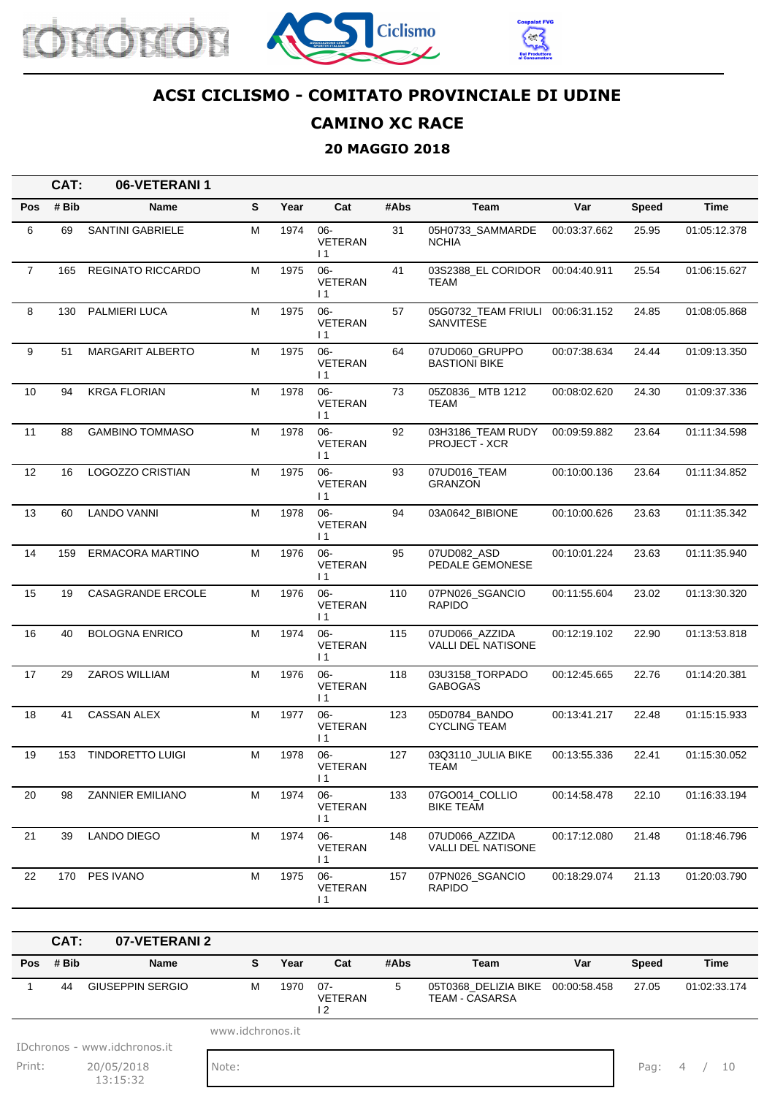





### **CAMINO XC RACE**

#### **20 MAGGIO 2018**

|                | CAT:  | 06-VETERANI 1            |   |      |                                             |      |                                             |              |       |              |
|----------------|-------|--------------------------|---|------|---------------------------------------------|------|---------------------------------------------|--------------|-------|--------------|
| Pos            | # Bib | Name                     | S | Year | Cat                                         | #Abs | Team                                        | Var          | Speed | <b>Time</b>  |
| 6              | 69    | <b>SANTINI GABRIELE</b>  | M | 1974 | 06-<br><b>VETERAN</b><br>$\overline{11}$    | 31   | 05H0733_SAMMARDE<br><b>NCHIA</b>            | 00:03:37.662 | 25.95 | 01:05:12.378 |
| $\overline{7}$ | 165   | REGINATO RICCARDO        | M | 1975 | 06-<br><b>VETERAN</b><br>$\overline{11}$    | 41   | 03S2388 EL CORIDOR<br>TEAM                  | 00:04:40.911 | 25.54 | 01:06:15.627 |
| 8              | 130   | PALMIERI LUCA            | м | 1975 | 06-<br>VETERAN<br>$\overline{11}$           | 57   | 05G0732_TEAM FRIULI<br><b>SANVITESE</b>     | 00:06:31.152 | 24.85 | 01:08:05.868 |
| 9              | 51    | <b>MARGARIT ALBERTO</b>  | м | 1975 | $06 -$<br><b>VETERAN</b><br>$\overline{11}$ | 64   | 07UD060_GRUPPO<br><b>BASTIONI BIKE</b>      | 00:07:38.634 | 24.44 | 01:09:13.350 |
| 10             | 94    | <b>KRGA FLORIAN</b>      | м | 1978 | 06-<br><b>VETERAN</b><br>$\vert$ 1          | 73   | 05Z0836_MTB 1212<br>TEAM                    | 00:08:02.620 | 24.30 | 01:09:37.336 |
| 11             | 88    | <b>GAMBINO TOMMASO</b>   | м | 1978 | $06 -$<br><b>VETERAN</b><br>$\overline{11}$ | 92   | 03H3186_TEAM RUDY<br><b>PROJECT - XCR</b>   | 00:09:59.882 | 23.64 | 01:11:34.598 |
| 12             | 16    | LOGOZZO CRISTIAN         | M | 1975 | 06-<br><b>VETERAN</b><br>$\overline{11}$    | 93   | 07UD016_TEAM<br><b>GRANZON</b>              | 00:10:00.136 | 23.64 | 01:11:34.852 |
| 13             | 60    | LANDO VANNI              | M | 1978 | 06-<br><b>VETERAN</b><br>$\overline{11}$    | 94   | 03A0642_BIBIONE                             | 00:10:00.626 | 23.63 | 01:11:35.342 |
| 14             | 159   | ERMACORA MARTINO         | м | 1976 | 06-<br>VETERAN<br>$\overline{11}$           | 95   | 07UD082_ASD<br>PEDALE GEMONESE              | 00:10:01.224 | 23.63 | 01:11:35.940 |
| 15             | 19    | <b>CASAGRANDE ERCOLE</b> | M | 1976 | 06-<br><b>VETERAN</b><br>$\overline{11}$    | 110  | 07PN026_SGANCIO<br><b>RAPIDO</b>            | 00:11:55.604 | 23.02 | 01:13:30.320 |
| 16             | 40    | <b>BOLOGNA ENRICO</b>    | м | 1974 | $06 -$<br><b>VETERAN</b><br>$\vert$ 1       | 115  | 07UD066_AZZIDA<br><b>VALLI DEL NATISONE</b> | 00:12:19.102 | 22.90 | 01:13:53.818 |
| 17             | 29    | ZAROS WILLIAM            | м | 1976 | $06 -$<br><b>VETERAN</b><br>$\overline{11}$ | 118  | 03U3158_TORPADO<br><b>GABOGAS</b>           | 00:12:45.665 | 22.76 | 01:14:20.381 |
| 18             | 41    | <b>CASSAN ALEX</b>       | M | 1977 | 06-<br><b>VETERAN</b><br>$\overline{11}$    | 123  | 05D0784 BANDO<br><b>CYCLING TEAM</b>        | 00:13:41.217 | 22.48 | 01:15:15.933 |
| 19             | 153   | <b>TINDORETTO LUIGI</b>  | М | 1978 | $06 -$<br>VETERAN<br>11                     | 127  | 03Q3110_JULIA BIKE<br>TEAM                  | 00:13:55.336 | 22.41 | 01:15:30.052 |
| 20             | 98    | <b>ZANNIER EMILIANO</b>  | М | 1974 | 06-<br>VETERAN<br>$\vert$ 1                 | 133  | 07GO014_COLLIO<br><b>BIKE TEAM</b>          | 00:14:58.478 | 22.10 | 01:16:33.194 |
| 21             | 39    | LANDO DIEGO              | M | 1974 | 06-<br>VETERAN<br>$\vert$ 1                 | 148  | 07UD066_AZZIDA<br>VALLI DEL NATISONE        | 00:17:12.080 | 21.48 | 01:18:46.796 |
| 22             | 170   | PES IVANO                | М | 1975 | 06-<br>VETERAN<br>$\vert$ 1                 | 157  | 07PN026 SGANCIO<br><b>RAPIDO</b>            | 00:18:29.074 | 21.13 | 01:20:03.790 |

|        | $CAT$ :  | 07-VETERANI 2                |                  |      |                               |      |                                                            |     |              |              |
|--------|----------|------------------------------|------------------|------|-------------------------------|------|------------------------------------------------------------|-----|--------------|--------------|
|        | Pos #Bib | Name                         | s                | Year | Cat                           | #Abs | Team                                                       | Var | <b>Speed</b> | <b>Time</b>  |
|        | 44       | <b>GIUSEPPIN SERGIO</b>      | м                | 1970 | - 07<br><b>VETERAN</b><br>2 ا | 5    | 05T0368 DELIZIA BIKE 00:00:58.458<br><b>TEAM - CASARSA</b> |     | 27.05        | 01:02:33.174 |
|        |          |                              | www.idchronos.it |      |                               |      |                                                            |     |              |              |
|        |          | IDchronos - www.idchronos.it |                  |      |                               |      |                                                            |     |              |              |
| Print: |          | 20/05/2018<br>13:15:32       | Note:            |      |                               |      |                                                            |     | Pag:         | 4<br>- 10    |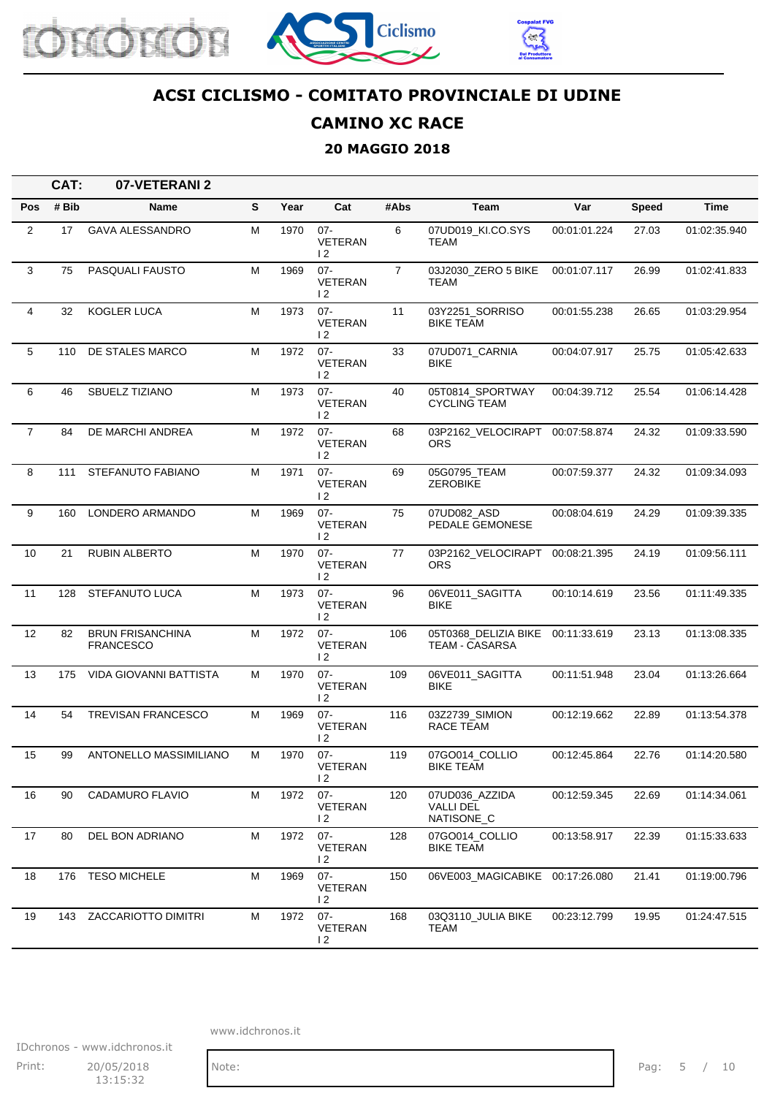





### **CAMINO XC RACE**

#### **20 MAGGIO 2018**

|                | CAT:  | 07-VETERANI 2                               |   |      |                                            |                |                                                  |              |              |              |
|----------------|-------|---------------------------------------------|---|------|--------------------------------------------|----------------|--------------------------------------------------|--------------|--------------|--------------|
| <b>Pos</b>     | # Bib | <b>Name</b>                                 | S | Year | Cat                                        | #Abs           | Team                                             | Var          | <b>Speed</b> | Time         |
| $\overline{2}$ | 17    | <b>GAVA ALESSANDRO</b>                      | M | 1970 | $07 -$<br><b>VETERAN</b><br>$\overline{2}$ | 6              | 07UD019_KI.CO.SYS<br><b>TEAM</b>                 | 00:01:01.224 | 27.03        | 01:02:35.940 |
| 3              | 75    | PASQUALI FAUSTO                             | M | 1969 | $07 -$<br>VETERAN<br>$\overline{2}$        | $\overline{7}$ | 03J2030_ZERO 5 BIKE<br>TEAM                      | 00:01:07.117 | 26.99        | 01:02:41.833 |
| 4              | 32    | <b>KOGLER LUCA</b>                          | м | 1973 | $07 -$<br><b>VETERAN</b><br>12             | 11             | 03Y2251 SORRISO<br><b>BIKE TEAM</b>              | 00:01:55.238 | 26.65        | 01:03:29.954 |
| 5              | 110   | DE STALES MARCO                             | М | 1972 | $07 -$<br><b>VETERAN</b><br>$\overline{2}$ | 33             | 07UD071 CARNIA<br>BIKE                           | 00:04:07.917 | 25.75        | 01:05:42.633 |
| 6              | 46    | SBUELZ TIZIANO                              | М | 1973 | $07 -$<br>VETERAN<br>$\overline{2}$        | 40             | 05T0814_SPORTWAY<br><b>CYCLING TEAM</b>          | 00:04:39.712 | 25.54        | 01:06:14.428 |
| $\overline{7}$ | 84    | DE MARCHI ANDREA                            | м | 1972 | $07 -$<br>VETERAN<br>$\overline{2}$        | 68             | 03P2162_VELOCIRAPT 00:07:58.874<br>ORS.          |              | 24.32        | 01:09:33.590 |
| 8              | 111   | STEFANUTO FABIANO                           | M | 1971 | $07 -$<br><b>VETERAN</b><br>$\overline{2}$ | 69             | 05G0795_TEAM<br><b>ZEROBIKE</b>                  | 00:07:59.377 | 24.32        | 01:09:34.093 |
| 9              | 160   | LONDERO ARMANDO                             | M | 1969 | $07 -$<br>VETERAN<br>$\overline{2}$        | 75             | 07UD082 ASD<br>PEDALE GEMONESE                   | 00:08:04.619 | 24.29        | 01:09:39.335 |
| 10             | 21    | <b>RUBIN ALBERTO</b>                        | м | 1970 | $07 -$<br>VETERAN<br>12                    | 77             | 03P2162_VELOCIRAPT<br><b>ORS</b>                 | 00:08:21.395 | 24.19        | 01:09:56.111 |
| 11             | 128   | STEFANUTO LUCA                              | M | 1973 | $07 -$<br><b>VETERAN</b><br>$\overline{2}$ | 96             | 06VE011_SAGITTA<br><b>BIKE</b>                   | 00:10:14.619 | 23.56        | 01:11:49.335 |
| 12             | 82    | <b>BRUN FRISANCHINA</b><br><b>FRANCESCO</b> | М | 1972 | $07 -$<br><b>VETERAN</b><br>$\overline{2}$ | 106            | 05T0368_DELIZIA BIKE<br><b>TEAM - CASARSA</b>    | 00:11:33.619 | 23.13        | 01:13:08.335 |
| 13             | 175   | VIDA GIOVANNI BATTISTA                      | М | 1970 | $07 -$<br><b>VETERAN</b><br>$\overline{2}$ | 109            | 06VE011_SAGITTA<br><b>BIKE</b>                   | 00:11:51.948 | 23.04        | 01:13:26.664 |
| 14             | 54    | TREVISAN FRANCESCO                          | M | 1969 | $07 -$<br><b>VETERAN</b><br>12             | 116            | 03Z2739_SIMION<br>RACE TEAM                      | 00:12:19.662 | 22.89        | 01:13:54.378 |
| 15             | 99    | ANTONELLO MASSIMILIANO                      | M | 1970 | $07 -$<br>VETERAN<br>$\overline{2}$        | 119            | 07GO014 COLLIO<br>BIKE TEAM                      | 00:12:45.864 | 22.76        | 01:14:20.580 |
| 16             | 90    | CADAMURO FLAVIO                             | M | 1972 | $07 -$<br>VETERAN<br>$\overline{2}$        | 120            | 07UD036_AZZIDA<br><b>VALLI DEL</b><br>NATISONE_C | 00:12:59.345 | 22.69        | 01:14:34.061 |
| 17             | 80    | DEL BON ADRIANO                             | М | 1972 | $07 -$<br><b>VETERAN</b><br>$\overline{2}$ | 128            | 07GO014_COLLIO<br><b>BIKE TEAM</b>               | 00:13:58.917 | 22.39        | 01:15:33.633 |
| 18             | 176   | <b>TESO MICHELE</b>                         | M | 1969 | $07 -$<br>VETERAN<br>$\overline{2}$        | 150            | 06VE003_MAGICABIKE 00:17:26.080                  |              | 21.41        | 01:19:00.796 |
| 19             | 143   | <b>ZACCARIOTTO DIMITRI</b>                  | М | 1972 | $07 -$<br><b>VETERAN</b><br>$\overline{2}$ | 168            | 03Q3110 JULIA BIKE<br>TEAM                       | 00:23:12.799 | 19.95        | 01:24:47.515 |

IDchronos - www.idchronos.it

Print: 20/05/2018 Note: Note: Pag: 5 / 10 13:15:32

www.idchronos.it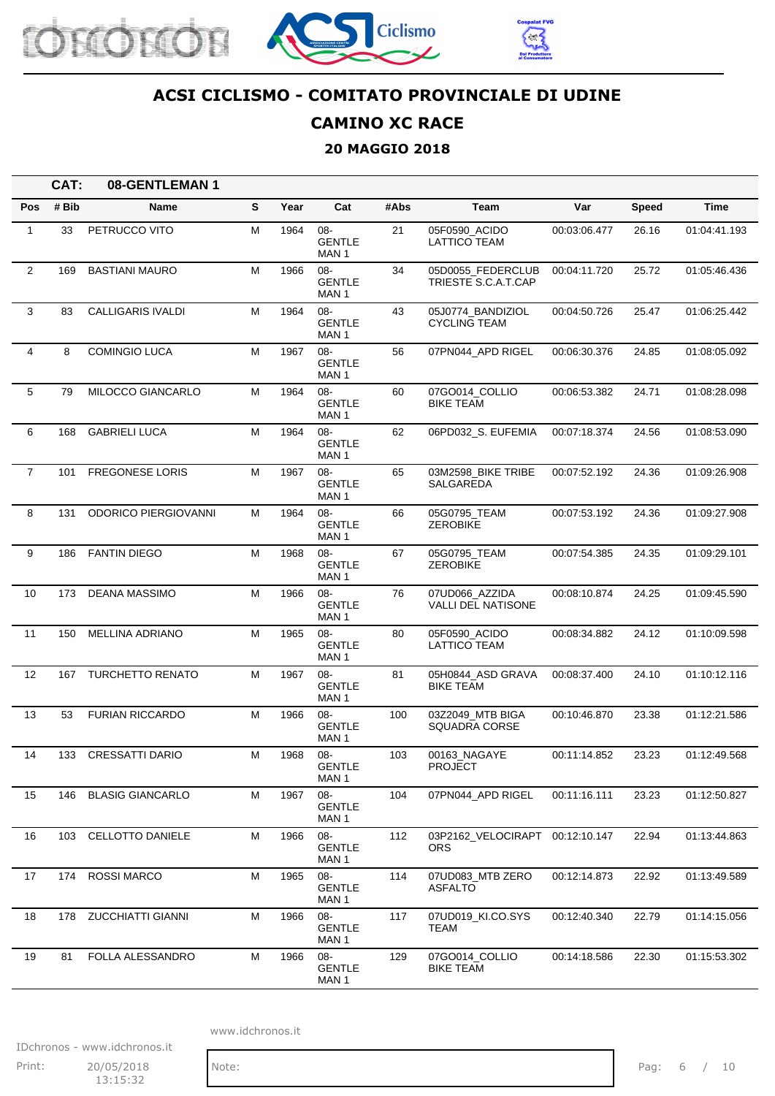





### **CAMINO XC RACE**

#### **20 MAGGIO 2018**

|                 | CAT:  | 08-GENTLEMAN 1              |   |      |                                          |      |                                          |              |              |              |
|-----------------|-------|-----------------------------|---|------|------------------------------------------|------|------------------------------------------|--------------|--------------|--------------|
| Pos             | # Bib | <b>Name</b>                 | S | Year | Cat                                      | #Abs | Team                                     | Var          | <b>Speed</b> | Time         |
| 1               | 33    | PETRUCCO VITO               | M | 1964 | 08-<br><b>GENTLE</b><br>MAN 1            | 21   | 05F0590_ACIDO<br>LATTICO TEAM            | 00:03:06.477 | 26.16        | 01:04:41.193 |
| $\overline{2}$  | 169   | <b>BASTIANI MAURO</b>       | M | 1966 | 08-<br><b>GENTLE</b><br>MAN 1            | 34   | 05D0055 FEDERCLUB<br>TRIESTE S.C.A.T.CAP | 00:04:11.720 | 25.72        | 01:05:46.436 |
| 3               | 83    | <b>CALLIGARIS IVALDI</b>    | M | 1964 | 08-<br><b>GENTLE</b><br>MAN 1            | 43   | 05J0774_BANDIZIOL<br><b>CYCLING TEAM</b> | 00:04:50.726 | 25.47        | 01:06:25.442 |
| 4               | 8     | <b>COMINGIO LUCA</b>        | М | 1967 | 08-<br><b>GENTLE</b><br>MAN 1            | 56   | 07PN044_APD RIGEL                        | 00:06:30.376 | 24.85        | 01:08:05.092 |
| $5\phantom{.0}$ | 79    | MILOCCO GIANCARLO           | М | 1964 | 08-<br><b>GENTLE</b><br>MAN 1            | 60   | 07GO014_COLLIO<br><b>BIKE TEAM</b>       | 00:06:53.382 | 24.71        | 01:08:28.098 |
| 6               | 168   | <b>GABRIELI LUCA</b>        | м | 1964 | $08 -$<br><b>GENTLE</b><br>MAN 1         | 62   | 06PD032_S. EUFEMIA                       | 00:07:18.374 | 24.56        | 01:08:53.090 |
| $\overline{7}$  | 101   | <b>FREGONESE LORIS</b>      | M | 1967 | 08-<br><b>GENTLE</b><br>MAN <sub>1</sub> | 65   | 03M2598_BIKE TRIBE<br>SALGAREDA          | 00:07:52.192 | 24.36        | 01:09:26.908 |
| 8               | 131   | <b>ODORICO PIERGIOVANNI</b> | M | 1964 | 08-<br><b>GENTLE</b><br>MAN <sub>1</sub> | 66   | 05G0795 TEAM<br><b>ZEROBIKE</b>          | 00:07:53.192 | 24.36        | 01:09:27.908 |
| 9               | 186   | <b>FANTIN DIEGO</b>         | M | 1968 | $08 -$<br><b>GENTLE</b><br>MAN 1         | 67   | 05G0795_TEAM<br><b>ZEROBIKE</b>          | 00:07:54.385 | 24.35        | 01:09:29.101 |
| 10              | 173   | <b>DEANA MASSIMO</b>        | M | 1966 | $08 -$<br><b>GENTLE</b><br>MAN 1         | 76   | 07UD066 AZZIDA<br>VALLI DEL NATISONE     | 00:08:10.874 | 24.25        | 01:09:45.590 |
| 11              | 150   | <b>MELLINA ADRIANO</b>      | М | 1965 | 08-<br><b>GENTLE</b><br>MAN 1            | 80   | 05F0590_ACIDO<br><b>LATTICO TEAM</b>     | 00:08:34.882 | 24.12        | 01:10:09.598 |
| 12              | 167   | <b>TURCHETTO RENATO</b>     | м | 1967 | $08 -$<br><b>GENTLE</b><br>MAN 1         | 81   | 05H0844_ASD GRAVA<br><b>BIKE TEAM</b>    | 00:08:37.400 | 24.10        | 01:10:12.116 |
| 13              | 53    | <b>FURIAN RICCARDO</b>      | M | 1966 | 08-<br><b>GENTLE</b><br>MAN 1            | 100  | 03Z2049 MTB BIGA<br><b>SQUADRA CORSE</b> | 00:10:46.870 | 23.38        | 01:12:21.586 |
| 14              | 133   | <b>CRESSATTI DARIO</b>      | М | 1968 | 08-<br>GENTLE<br>MAN 1                   | 103  | 00163_NAGAYE<br>PROJECT                  | 00:11:14.852 | 23.23        | 01:12:49.568 |
| 15              | 146   | <b>BLASIG GIANCARLO</b>     | М | 1967 | 08-<br><b>GENTLE</b><br>MAN 1            | 104  | 07PN044_APD RIGEL                        | 00:11:16.111 | 23.23        | 01:12:50.827 |
| 16              | 103   | CELLOTTO DANIELE            | M | 1966 | 08-<br><b>GENTLE</b><br>MAN 1            | 112  | 03P2162_VELOCIRAPT 00:12:10.147<br>ORS.  |              | 22.94        | 01:13:44.863 |
| 17              | 174   | <b>ROSSI MARCO</b>          | M | 1965 | 08-<br><b>GENTLE</b><br>MAN <sub>1</sub> | 114  | 07UD083_MTB ZERO<br><b>ASFALTO</b>       | 00:12:14.873 | 22.92        | 01:13:49.589 |
| 18              | 178   | <b>ZUCCHIATTI GIANNI</b>    | M | 1966 | 08-<br><b>GENTLE</b><br>MAN 1            | 117  | 07UD019_KI.CO.SYS<br>TEAM                | 00:12:40.340 | 22.79        | 01:14:15.056 |
| 19              | 81    | FOLLA ALESSANDRO            | M | 1966 | 08-<br><b>GENTLE</b><br>MAN 1            | 129  | 07GO014 COLLIO<br><b>BIKE TEAM</b>       | 00:14:18.586 | 22.30        | 01:15:53.302 |

www.idchronos.it

IDchronos - www.idchronos.it Print: 20/05/2018 Note: Note: Pag: 6 / 10 13:15:32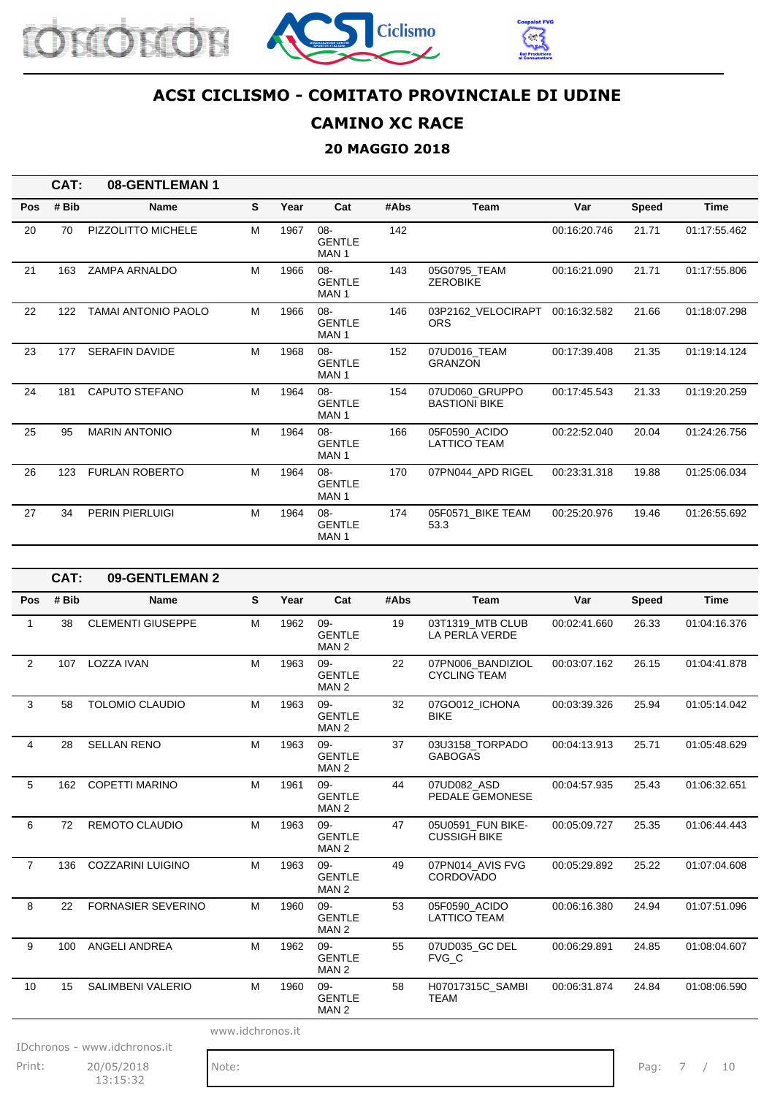





### **CAMINO XC RACE**

#### **20 MAGGIO 2018**

|     | CAT:  | 08-GENTLEMAN 1             |   |      |                                             |      |                                        |              |              |              |
|-----|-------|----------------------------|---|------|---------------------------------------------|------|----------------------------------------|--------------|--------------|--------------|
| Pos | # Bib | <b>Name</b>                | S | Year | Cat                                         | #Abs | Team                                   | Var          | <b>Speed</b> | <b>Time</b>  |
| 20  | 70    | PIZZOLITTO MICHELE         | M | 1967 | $08 -$<br><b>GENTLE</b><br>MAN <sub>1</sub> | 142  |                                        | 00:16:20.746 | 21.71        | 01:17:55.462 |
| 21  | 163   | <b>ZAMPA ARNALDO</b>       | M | 1966 | $08 -$<br><b>GENTLE</b><br>MAN <sub>1</sub> | 143  | 05G0795_TEAM<br><b>ZEROBIKE</b>        | 00:16:21.090 | 21.71        | 01:17:55.806 |
| 22  | 122   | <b>TAMAI ANTONIO PAOLO</b> | M | 1966 | $08-$<br><b>GENTLE</b><br>MAN <sub>1</sub>  | 146  | 03P2162_VELOCIRAPT<br><b>ORS</b>       | 00:16:32.582 | 21.66        | 01:18:07.298 |
| 23  | 177   | <b>SERAFIN DAVIDE</b>      | M | 1968 | $08-$<br><b>GENTLE</b><br>MAN <sub>1</sub>  | 152  | 07UD016_TEAM<br><b>GRANZON</b>         | 00:17:39.408 | 21.35        | 01:19:14.124 |
| 24  | 181   | CAPUTO STEFANO             | M | 1964 | $08 -$<br><b>GENTLE</b><br>MAN <sub>1</sub> | 154  | 07UD060 GRUPPO<br><b>BASTIONI BIKE</b> | 00:17:45.543 | 21.33        | 01:19:20.259 |
| 25  | 95    | <b>MARIN ANTONIO</b>       | M | 1964 | $08 -$<br><b>GENTLE</b><br>MAN <sub>1</sub> | 166  | 05F0590 ACIDO<br><b>LATTICO TEAM</b>   | 00:22:52.040 | 20.04        | 01:24:26.756 |
| 26  | 123   | <b>FURLAN ROBERTO</b>      | M | 1964 | $08 -$<br><b>GENTLE</b><br>MAN <sub>1</sub> | 170  | 07PN044 APD RIGEL                      | 00:23:31.318 | 19.88        | 01:25:06.034 |
| 27  | 34    | <b>PERIN PIERLUIGI</b>     | M | 1964 | $08 -$<br><b>GENTLE</b><br>MAN <sub>1</sub> | 174  | 05F0571 BIKE TEAM<br>53.3              | 00:25:20.976 | 19.46        | 01:26:55.692 |

|                | CAT:  | 09-GENTLEMAN 2            |                  |      |                                             |      |                                          |              |              |              |
|----------------|-------|---------------------------|------------------|------|---------------------------------------------|------|------------------------------------------|--------------|--------------|--------------|
| Pos            | # Bib | <b>Name</b>               | S                | Year | Cat                                         | #Abs | <b>Team</b>                              | Var          | <b>Speed</b> | <b>Time</b>  |
| 1              | 38    | <b>CLEMENTI GIUSEPPE</b>  | M                | 1962 | 09-<br><b>GENTLE</b><br>MAN <sub>2</sub>    | 19   | 03T1319 MTB CLUB<br>LA PERLA VERDE       | 00:02:41.660 | 26.33        | 01:04:16.376 |
| $\overline{2}$ | 107   | <b>LOZZA IVAN</b>         | M                | 1963 | $09 -$<br><b>GENTLE</b><br>MAN <sub>2</sub> | 22   | 07PN006 BANDIZIOL<br><b>CYCLING TEAM</b> | 00:03:07.162 | 26.15        | 01:04:41.878 |
| 3              | 58    | <b>TOLOMIO CLAUDIO</b>    | M                | 1963 | $09 -$<br><b>GENTLE</b><br>MAN <sub>2</sub> | 32   | 07GO012_ICHONA<br><b>BIKE</b>            | 00:03:39.326 | 25.94        | 01:05:14.042 |
| $\overline{4}$ | 28    | <b>SELLAN RENO</b>        | M                | 1963 | $09 -$<br><b>GENTLE</b><br>MAN <sub>2</sub> | 37   | 03U3158 TORPADO<br><b>GABOGAS</b>        | 00:04:13.913 | 25.71        | 01:05:48.629 |
| 5              | 162   | COPETTI MARINO            | M                | 1961 | $09 -$<br><b>GENTLE</b><br>MAN <sub>2</sub> | 44   | 07UD082 ASD<br>PEDALE GEMONESE           | 00:04:57.935 | 25.43        | 01:06:32.651 |
| 6              | 72    | <b>REMOTO CLAUDIO</b>     | M                | 1963 | $09 -$<br><b>GENTLE</b><br>MAN <sub>2</sub> | 47   | 05U0591 FUN BIKE-<br><b>CUSSIGH BIKE</b> | 00:05:09.727 | 25.35        | 01:06:44.443 |
| $\overline{7}$ | 136   | <b>COZZARINI LUIGINO</b>  | M                | 1963 | $09 -$<br><b>GENTLE</b><br>MAN <sub>2</sub> | 49   | 07PN014 AVIS FVG<br><b>CORDOVADO</b>     | 00:05:29.892 | 25.22        | 01:07:04.608 |
| 8              | 22    | <b>FORNASIER SEVERINO</b> | M                | 1960 | $09 -$<br><b>GENTLE</b><br>MAN <sub>2</sub> | 53   | 05F0590 ACIDO<br><b>LATTICO TEAM</b>     | 00:06:16.380 | 24.94        | 01:07:51.096 |
| 9              | 100   | <b>ANGELI ANDREA</b>      | M                | 1962 | $09 -$<br><b>GENTLE</b><br>MAN <sub>2</sub> | 55   | 07UD035 GC DEL<br>FVG C                  | 00:06:29.891 | 24.85        | 01:08:04.607 |
| 10             | 15    | <b>SALIMBENI VALERIO</b>  | M                | 1960 | $09 -$<br><b>GENTLE</b><br>MAN <sub>2</sub> | 58   | H07017315C_SAMBI<br><b>TEAM</b>          | 00:06:31.874 | 24.84        | 01:08:06.590 |
|                |       |                           | www.idchronos.it |      |                                             |      |                                          |              |              |              |

IDchronos - www.idchronos.it

Print: 20/05/2018 Note: Note: Pag: 7 / 10 13:15:32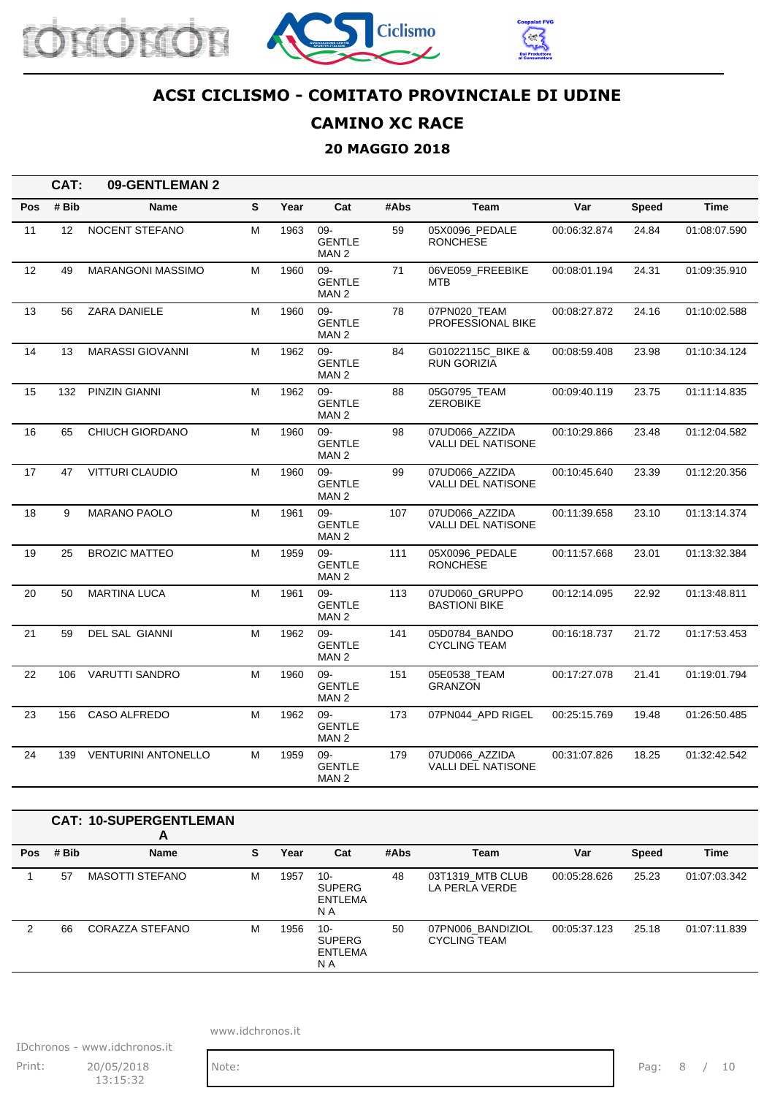





### **CAMINO XC RACE**

#### **20 MAGGIO 2018**

|     | CAT:  | 09-GENTLEMAN 2             |             |      |                                          |      |                                             |              |              |              |
|-----|-------|----------------------------|-------------|------|------------------------------------------|------|---------------------------------------------|--------------|--------------|--------------|
| Pos | # Bib | <b>Name</b>                | $\mathbf s$ | Year | Cat                                      | #Abs | Team                                        | Var          | <b>Speed</b> | <b>Time</b>  |
| 11  | 12    | <b>NOCENT STEFANO</b>      | M           | 1963 | 09-<br><b>GENTLE</b><br>MAN <sub>2</sub> | 59   | 05X0096 PEDALE<br><b>RONCHESE</b>           | 00:06:32.874 | 24.84        | 01:08:07.590 |
| 12  | 49    | <b>MARANGONI MASSIMO</b>   | M           | 1960 | 09-<br><b>GENTLE</b><br>MAN 2            | 71   | 06VE059 FREEBIKE<br><b>MTB</b>              | 00:08:01.194 | 24.31        | 01:09:35.910 |
| 13  | 56    | ZARA DANIELE               | M           | 1960 | 09-<br><b>GENTLE</b><br>MAN 2            | 78   | 07PN020 TEAM<br>PROFESSIONAL BIKE           | 00:08:27.872 | 24.16        | 01:10:02.588 |
| 14  | 13    | <b>MARASSI GIOVANNI</b>    | M           | 1962 | 09-<br><b>GENTLE</b><br>MAN <sub>2</sub> | 84   | G01022115C BIKE &<br>RUN GORIZIA            | 00:08:59.408 | 23.98        | 01:10:34.124 |
| 15  | 132   | <b>PINZIN GIANNI</b>       | м           | 1962 | 09-<br><b>GENTLE</b><br>MAN 2            | 88   | 05G0795 TEAM<br><b>ZEROBIKE</b>             | 00:09:40.119 | 23.75        | 01:11:14.835 |
| 16  | 65    | <b>CHIUCH GIORDANO</b>     | M           | 1960 | 09-<br><b>GENTLE</b><br>MAN 2            | 98   | 07UD066 AZZIDA<br><b>VALLI DEL NATISONE</b> | 00:10:29.866 | 23.48        | 01:12:04.582 |
| 17  | 47    | <b>VITTURI CLAUDIO</b>     | M           | 1960 | 09-<br><b>GENTLE</b><br>MAN 2            | 99   | 07UD066 AZZIDA<br><b>VALLI DEL NATISONE</b> | 00:10:45.640 | 23.39        | 01:12:20.356 |
| 18  | 9     | <b>MARANO PAOLO</b>        | M           | 1961 | 09-<br><b>GENTLE</b><br>MAN <sub>2</sub> | 107  | 07UD066 AZZIDA<br>VALLI DEL NATISONE        | 00:11:39.658 | 23.10        | 01:13:14.374 |
| 19  | 25    | <b>BROZIC MATTEO</b>       | м           | 1959 | 09-<br><b>GENTLE</b><br>MAN <sub>2</sub> | 111  | 05X0096 PEDALE<br><b>RONCHESE</b>           | 00:11:57.668 | 23.01        | 01:13:32.384 |
| 20  | 50    | <b>MARTINA LUCA</b>        | М           | 1961 | 09-<br><b>GENTLE</b><br>MAN 2            | 113  | 07UD060 GRUPPO<br><b>BASTIONI BIKE</b>      | 00:12:14.095 | 22.92        | 01:13:48.811 |
| 21  | 59    | DEL SAL GIANNI             | M           | 1962 | 09-<br><b>GENTLE</b><br>MAN <sub>2</sub> | 141  | 05D0784 BANDO<br><b>CYCLING TEAM</b>        | 00:16:18.737 | 21.72        | 01:17:53.453 |
| 22  | 106   | <b>VARUTTI SANDRO</b>      | M           | 1960 | 09-<br><b>GENTLE</b><br>MAN <sub>2</sub> | 151  | 05E0538 TEAM<br><b>GRANZON</b>              | 00:17:27.078 | 21.41        | 01:19:01.794 |
| 23  | 156   | CASO ALFREDO               | M           | 1962 | 09-<br><b>GENTLE</b><br>MAN <sub>2</sub> | 173  | 07PN044 APD RIGEL                           | 00:25:15.769 | 19.48        | 01:26:50.485 |
| 24  | 139   | <b>VENTURINI ANTONELLO</b> | M           | 1959 | 09-<br><b>GENTLE</b><br>MAN <sub>2</sub> | 179  | 07UD066 AZZIDA<br>VALLI DEL NATISONE        | 00:31:07.826 | 18.25        | 01:32:42.542 |

#### **CAT: 10-SUPERGENTLEMAN A Pos # Bib Name S Year Cat #Abs Team Var Speed Time** 1 57 MASOTTI STEFANO M 1957 10-SUPERG ENTLEMA N A 48 03T1319\_MTB CLUB LA PERLA VERDE 00:05:28.626 25.23 01:07:03.342 2 66 CORAZZA STEFANO M 1956 10-SUPERG ENTLEMA N A 50 07PN006\_BANDIZIOL CYCLING TEAM 00:05:37.123 25.18 01:07:11.839

www.idchronos.it

IDchronos - www.idchronos.it Print: 20/05/2018 Note: Print: 20/05/2018 Note: Pag: 8 / 10 13:15:32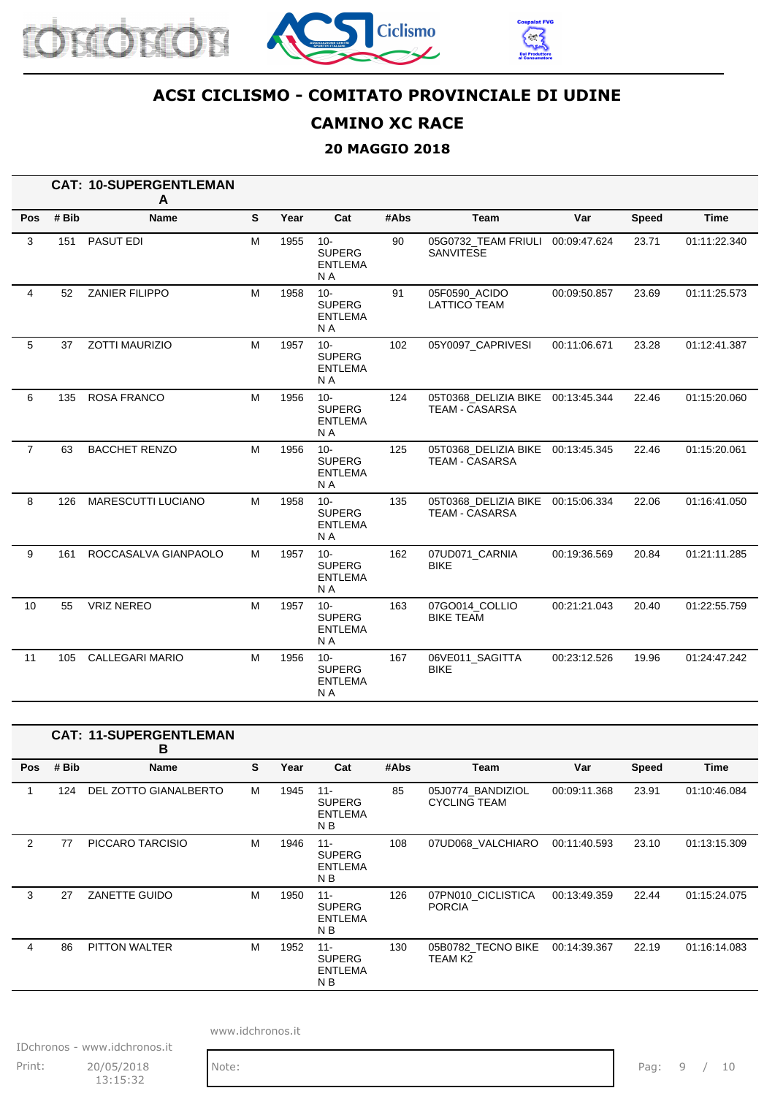





### **CAMINO XC RACE**

### **20 MAGGIO 2018**

|                |       | <b>CAT: 10-SUPERGENTLEMAN</b><br>A |   |      |                                                             |      |                                                            |              |       |              |
|----------------|-------|------------------------------------|---|------|-------------------------------------------------------------|------|------------------------------------------------------------|--------------|-------|--------------|
| Pos            | # Bib | <b>Name</b>                        | S | Year | Cat                                                         | #Abs | <b>Team</b>                                                | Var          | Speed | <b>Time</b>  |
| 3              | 151   | PASUT EDI                          | M | 1955 | $10 -$<br><b>SUPERG</b><br><b>ENTLEMA</b><br>N A            | 90   | 05G0732_TEAM FRIULI<br>SANVITESE                           | 00:09:47.624 | 23.71 | 01:11:22.340 |
| 4              | 52    | <b>ZANIER FILIPPO</b>              | M | 1958 | $10 -$<br><b>SUPERG</b><br><b>ENTLEMA</b><br>N <sub>A</sub> | 91   | 05F0590 ACIDO<br><b>LATTICO TEAM</b>                       | 00:09:50.857 | 23.69 | 01:11:25.573 |
| 5              | 37    | <b>ZOTTI MAURIZIO</b>              | M | 1957 | $10 -$<br><b>SUPERG</b><br><b>ENTLEMA</b><br>N A            | 102  | 05Y0097_CAPRIVESI                                          | 00:11:06.671 | 23.28 | 01:12:41.387 |
| 6              | 135   | <b>ROSA FRANCO</b>                 | M | 1956 | $10 -$<br><b>SUPERG</b><br><b>ENTLEMA</b><br>N A            | 124  | 05T0368_DELIZIA BIKE<br><b>TEAM - CASARSA</b>              | 00:13:45.344 | 22.46 | 01:15:20.060 |
| $\overline{7}$ | 63    | <b>BACCHET RENZO</b>               | M | 1956 | $10 -$<br><b>SUPERG</b><br><b>ENTLEMA</b><br>N <sub>A</sub> | 125  | 05T0368_DELIZIA BIKE 00:13:45.345<br><b>TEAM - CASARSA</b> |              | 22.46 | 01:15:20.061 |
| 8              | 126   | <b>MARESCUTTI LUCIANO</b>          | M | 1958 | $10 -$<br><b>SUPERG</b><br><b>ENTLEMA</b><br>N <sub>A</sub> | 135  | 05T0368 DELIZIA BIKE<br><b>TEAM - CASARSA</b>              | 00:15:06.334 | 22.06 | 01:16:41.050 |
| 9              | 161   | ROCCASALVA GIANPAOLO               | M | 1957 | $10 -$<br><b>SUPERG</b><br><b>ENTLEMA</b><br>N <sub>A</sub> | 162  | 07UD071_CARNIA<br><b>BIKE</b>                              | 00:19:36.569 | 20.84 | 01:21:11.285 |
| 10             | 55    | <b>VRIZ NEREO</b>                  | M | 1957 | $10 -$<br><b>SUPERG</b><br><b>ENTLEMA</b><br>N A            | 163  | 07GO014_COLLIO<br><b>BIKE TEAM</b>                         | 00:21:21.043 | 20.40 | 01:22:55.759 |
| 11             | 105   | <b>CALLEGARI MARIO</b>             | M | 1956 | $10 -$<br><b>SUPERG</b><br><b>ENTLEMA</b><br>N A            | 167  | 06VE011_SAGITTA<br><b>BIKE</b>                             | 00:23:12.526 | 19.96 | 01:24:47.242 |

|            |       | <b>CAT: 11-SUPERGENTLEMAN</b><br>B |   |      |                                                             |      |                                          |              |              |              |
|------------|-------|------------------------------------|---|------|-------------------------------------------------------------|------|------------------------------------------|--------------|--------------|--------------|
| <b>Pos</b> | # Bib | <b>Name</b>                        | S | Year | Cat                                                         | #Abs | Team                                     | Var          | <b>Speed</b> | Time         |
| 1          | 124   | DEL ZOTTO GIANALBERTO              | м | 1945 | $11 -$<br><b>SUPERG</b><br><b>ENTLEMA</b><br>N B            | 85   | 05J0774_BANDIZIOL<br><b>CYCLING TEAM</b> | 00:09:11.368 | 23.91        | 01:10:46.084 |
| 2          | 77    | PICCARO TARCISIO                   | М | 1946 | $11 -$<br><b>SUPERG</b><br><b>ENTLEMA</b><br>N B            | 108  | 07UD068 VALCHIARO                        | 00:11:40.593 | 23.10        | 01:13:15.309 |
| 3          | 27    | ZANETTE GUIDO                      | М | 1950 | $11 -$<br><b>SUPERG</b><br><b>ENTLEMA</b><br>N <sub>B</sub> | 126  | 07PN010_CICLISTICA<br><b>PORCIA</b>      | 00:13:49.359 | 22.44        | 01:15:24.075 |
| 4          | 86    | PITTON WALTER                      | М | 1952 | $11 -$<br><b>SUPERG</b><br><b>ENTLEMA</b><br>N <sub>B</sub> | 130  | 05B0782 TECNO BIKE<br>TEAM K2            | 00:14:39.367 | 22.19        | 01:16:14.083 |

www.idchronos.it

IDchronos - www.idchronos.it Print: 20/05/2018 Note: Note: Pag: 9 / 10 13:15:32